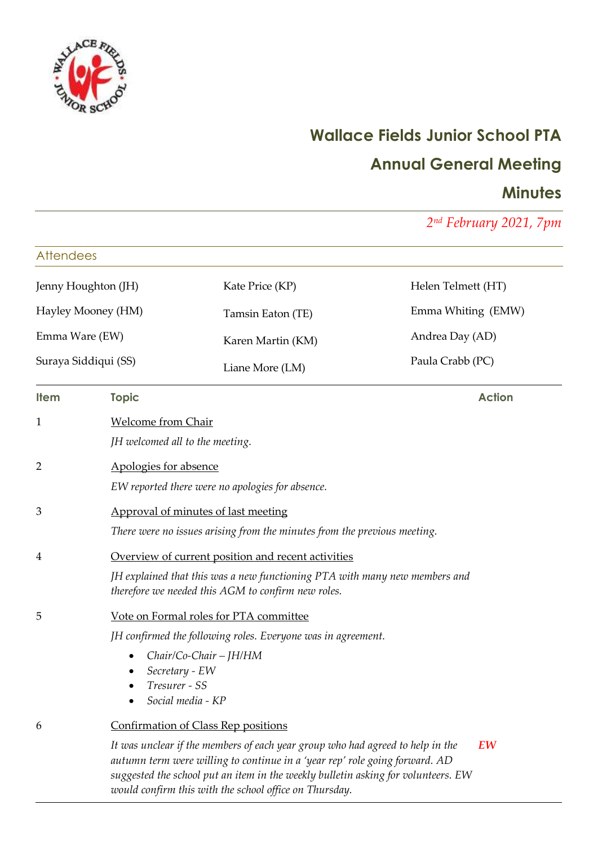

# **Wallace Fields Junior School PTA**

# **Annual General Meeting**

# **Minutes**

*2 nd February 2021, 7pm*

| <b>Attendees</b>     |                                                                                                                                                                                        |                                                                                                                                                                                                                                                                                                                                                     |                    |  |
|----------------------|----------------------------------------------------------------------------------------------------------------------------------------------------------------------------------------|-----------------------------------------------------------------------------------------------------------------------------------------------------------------------------------------------------------------------------------------------------------------------------------------------------------------------------------------------------|--------------------|--|
| Jenny Houghton (JH)  |                                                                                                                                                                                        | Kate Price (KP)                                                                                                                                                                                                                                                                                                                                     | Helen Telmett (HT) |  |
| Hayley Mooney (HM)   |                                                                                                                                                                                        | Tamsin Eaton (TE)                                                                                                                                                                                                                                                                                                                                   | Emma Whiting (EMW) |  |
| Emma Ware (EW)       |                                                                                                                                                                                        | Karen Martin (KM)                                                                                                                                                                                                                                                                                                                                   | Andrea Day (AD)    |  |
| Suraya Siddiqui (SS) |                                                                                                                                                                                        | Liane More (LM)                                                                                                                                                                                                                                                                                                                                     | Paula Crabb (PC)   |  |
| <b>Item</b>          | <b>Topic</b>                                                                                                                                                                           |                                                                                                                                                                                                                                                                                                                                                     | <b>Action</b>      |  |
| 1                    | <b>Welcome from Chair</b><br>JH welcomed all to the meeting.                                                                                                                           |                                                                                                                                                                                                                                                                                                                                                     |                    |  |
| 2                    | Apologies for absence                                                                                                                                                                  | EW reported there were no apologies for absence.                                                                                                                                                                                                                                                                                                    |                    |  |
| 3                    |                                                                                                                                                                                        | Approval of minutes of last meeting<br>There were no issues arising from the minutes from the previous meeting.                                                                                                                                                                                                                                     |                    |  |
| 4                    | Overview of current position and recent activities<br>JH explained that this was a new functioning PTA with many new members and<br>therefore we needed this AGM to confirm new roles. |                                                                                                                                                                                                                                                                                                                                                     |                    |  |
| 5                    | Secretary - EW<br>Tresurer - SS<br>Social media - KP                                                                                                                                   | Vote on Formal roles for PTA committee<br>JH confirmed the following roles. Everyone was in agreement.<br>Chair/Co-Chair - JH/HM                                                                                                                                                                                                                    |                    |  |
| 6                    |                                                                                                                                                                                        | Confirmation of Class Rep positions<br>It was unclear if the members of each year group who had agreed to help in the<br>autumn term were willing to continue in a 'year rep' role going forward. AD<br>suggested the school put an item in the weekly bulletin asking for volunteers. EW<br>would confirm this with the school office on Thursday. | EW                 |  |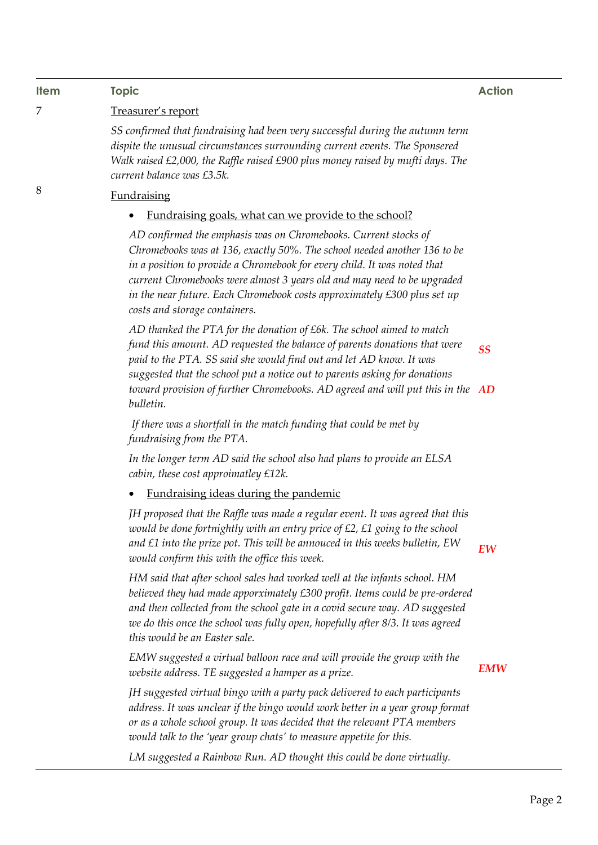## **Item Topic Action**

8

#### 7 Treasurer's report

*SS confirmed that fundraising had been very successful during the autumn term dispite the unusual circumstances surrounding current events. The Sponsered Walk raised £2,000, the Raffle raised £900 plus money raised by mufti days. The current balance was £3.5k.*

### Fundraising

### • Fundraising goals, what can we provide to the school?

*AD confirmed the emphasis was on Chromebooks. Current stocks of Chromebooks was at 136, exactly 50%. The school needed another 136 to be*  in a position to provide a Chromebook for every child. It was noted that *current Chromebooks were almost 3 years old and may need to be upgraded in the near future. Each Chromebook costs approximately £300 plus set up costs and storage containers.*

*AD thanked the PTA for the donation of £6k. The school aimed to match fund this amount. AD requested the balance of parents donations that were paid to the PTA. SS said she would find out and let AD know. It was suggested that the school put a notice out to parents asking for donations toward provision of further Chromebooks. AD agreed and will put this in the AD bulletin. SS*

*If there was a shortfall in the match funding that could be met by fundraising from the PTA.*

*In the longer term AD said the school also had plans to provide an ELSA cabin, these cost approimatley £12k.*

Fundraising ideas during the pandemic

*JH proposed that the Raffle was made a regular event. It was agreed that this would be done fortnightly with an entry price of £2, £1 going to the school and £1 into the prize pot. This will be annouced in this weeks bulletin, EW would confirm this with the office this week.*

*EW*

*HM said that after school sales had worked well at the infants school. HM believed they had made apporximately £300 profit. Items could be pre-ordered and then collected from the school gate in a covid secure way. AD suggested we do this once the school was fully open, hopefully after 8/3. It was agreed this would be an Easter sale.*

*EMW suggested a virtual balloon race and will provide the group with the website address. TE suggested a hamper as a prize.*

*EMW*

*JH suggested virtual bingo with a party pack delivered to each participants address. It was unclear if the bingo would work better in a year group format or as a whole school group. It was decided that the relevant PTA members would talk to the 'year group chats' to measure appetite for this.* 

*LM suggested a Rainbow Run. AD thought this could be done virtually.*